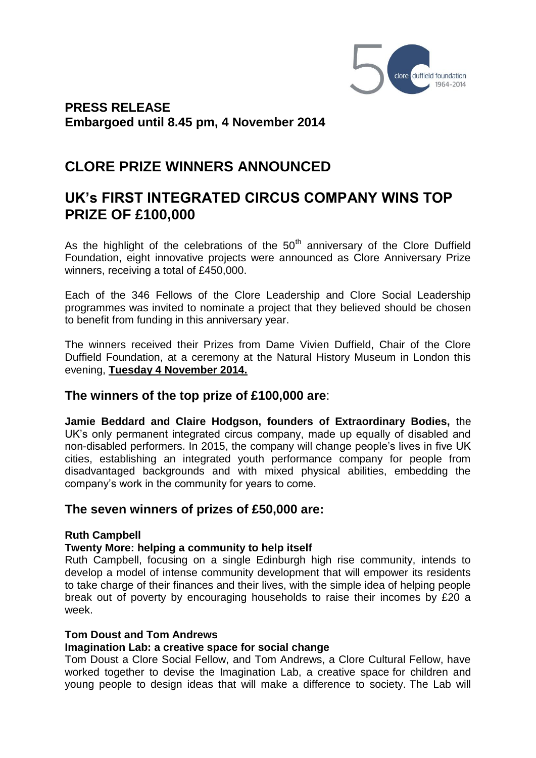

**PRESS RELEASE Embargoed until 8.45 pm, 4 November 2014** 

# **CLORE PRIZE WINNERS ANNOUNCED**

# **UK's FIRST INTEGRATED CIRCUS COMPANY WINS TOP PRIZE OF £100,000**

As the highlight of the celebrations of the  $50<sup>th</sup>$  anniversary of the Clore Duffield Foundation, eight innovative projects were announced as Clore Anniversary Prize winners, receiving a total of £450,000.

Each of the 346 Fellows of the Clore Leadership and Clore Social Leadership programmes was invited to nominate a project that they believed should be chosen to benefit from funding in this anniversary year.

The winners received their Prizes from Dame Vivien Duffield, Chair of the Clore Duffield Foundation, at a ceremony at the Natural History Museum in London this evening, **Tuesday 4 November 2014.**

# **The winners of the top prize of £100,000 are**:

**Jamie Beddard and Claire Hodgson, founders of Extraordinary Bodies,** the UK's only permanent integrated circus company, made up equally of disabled and non-disabled performers. In 2015, the company will change people's lives in five UK cities, establishing an integrated youth performance company for people from disadvantaged backgrounds and with mixed physical abilities, embedding the company's work in the community for years to come.

# **The seven winners of prizes of £50,000 are:**

# **Ruth Campbell**

# **Twenty More: helping a community to help itself**

Ruth Campbell, focusing on a single Edinburgh high rise community, intends to develop a model of intense community development that will empower its residents to take charge of their finances and their lives, with the simple idea of helping people break out of poverty by encouraging households to raise their incomes by £20 a week.

#### **Tom Doust and Tom Andrews**

# **Imagination Lab: a creative space for social change**

Tom Doust a Clore Social Fellow, and Tom Andrews, a Clore Cultural Fellow, have worked together to devise the Imagination Lab, a creative space for children and young people to design ideas that will make a difference to society. The Lab will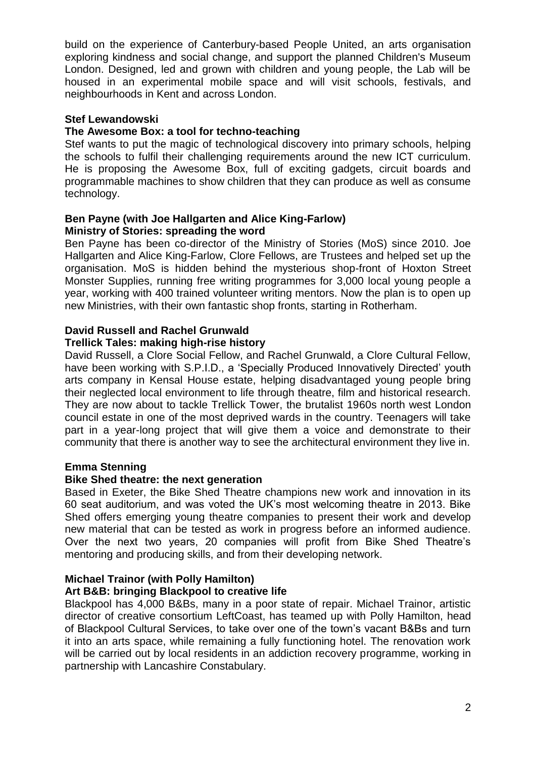build on the experience of Canterbury-based People United, an arts organisation exploring kindness and social change, and support the planned Children's Museum London. Designed, led and grown with children and young people, the Lab will be housed in an experimental mobile space and will visit schools, festivals, and neighbourhoods in Kent and across London.

# **Stef Lewandowski**

# **The Awesome Box: a tool for techno-teaching**

Stef wants to put the magic of technological discovery into primary schools, helping the schools to fulfil their challenging requirements around the new ICT curriculum. He is proposing the Awesome Box, full of exciting gadgets, circuit boards and programmable machines to show children that they can produce as well as consume technology.

### **Ben Payne (with Joe Hallgarten and Alice King-Farlow) Ministry of Stories: spreading the word**

Ben Payne has been co-director of the Ministry of Stories (MoS) since 2010. Joe Hallgarten and Alice King-Farlow, Clore Fellows, are Trustees and helped set up the organisation. MoS is hidden behind the mysterious shop-front of Hoxton Street Monster Supplies, running free writing programmes for 3,000 local young people a year, working with 400 trained volunteer writing mentors. Now the plan is to open up new Ministries, with their own fantastic shop fronts, starting in Rotherham.

# **David Russell and Rachel Grunwald**

#### **Trellick Tales: making high-rise history**

David Russell, a Clore Social Fellow, and Rachel Grunwald, a Clore Cultural Fellow, have been working with S.P.I.D., a 'Specially Produced Innovatively Directed' youth arts company in Kensal House estate, helping disadvantaged young people bring their neglected local environment to life through theatre, film and historical research. They are now about to tackle Trellick Tower, the brutalist 1960s north west London council estate in one of the most deprived wards in the country. Teenagers will take part in a year-long project that will give them a voice and demonstrate to their community that there is another way to see the architectural environment they live in.

# **Emma Stenning**

# **Bike Shed theatre: the next generation**

Based in Exeter, the Bike Shed Theatre champions new work and innovation in its 60 seat auditorium, and was voted the UK's most welcoming theatre in 2013. Bike Shed offers emerging young theatre companies to present their work and develop new material that can be tested as work in progress before an informed audience. Over the next two years, 20 companies will profit from Bike Shed Theatre's mentoring and producing skills, and from their developing network.

# **Michael Trainor (with Polly Hamilton)**

# **Art B&B: bringing Blackpool to creative life**

Blackpool has 4,000 B&Bs, many in a poor state of repair. Michael Trainor, artistic director of creative consortium LeftCoast, has teamed up with Polly Hamilton, head of Blackpool Cultural Services, to take over one of the town's vacant B&Bs and turn it into an arts space, while remaining a fully functioning hotel. The renovation work will be carried out by local residents in an addiction recovery programme, working in partnership with Lancashire Constabulary.